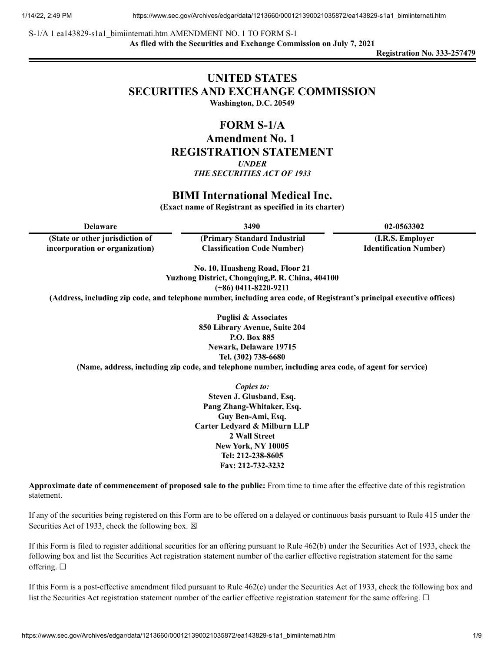S-1/A 1 ea143829-s1a1\_bimiinternati.htm AMENDMENT NO. 1 TO FORM S-1 **As filed with the Securities and Exchange Commission on July 7, 2021**

**Registration No. 333-257479**

# **UNITED STATES SECURITIES AND EXCHANGE COMMISSION**

**Washington, D.C. 20549**

## **FORM S-1/A**

**Amendment No. 1 REGISTRATION STATEMENT** *UNDER*

*THE SECURITIES ACT OF 1933*

## **BIMI International Medical Inc.**

**(Exact name of Registrant as specified in its charter)**

| Delaware                        | 3490                               | 02-0563302                     |
|---------------------------------|------------------------------------|--------------------------------|
| (State or other jurisdiction of | (Primary Standard Industrial)      | (I.R.S. Employer)              |
| incorporation or organization)  | <b>Classification Code Number)</b> | <b>Identification Number</b> ) |

**No. 10, Huasheng Road, Floor 21 Yuzhong District, Chongqing,P. R. China, 404100 (+86) 0411-8220-9211**

**(Address, including zip code, and telephone number, including area code, of Registrant's principal executive offices)**

**Puglisi & Associates 850 Library Avenue, Suite 204 P.O. Box 885 Newark, Delaware 19715 Tel. (302) 738-6680**

**(Name, address, including zip code, and telephone number, including area code, of agent for service)**

*Copies to:* **Steven J. Glusband, Esq. Pang Zhang-Whitaker, Esq. Guy Ben-Ami, Esq. Carter Ledyard & Milburn LLP 2 Wall Street New York, NY 10005 Tel: 212-238-8605 Fax: 212-732-3232**

**Approximate date of commencement of proposed sale to the public:** From time to time after the effective date of this registration statement.

If any of the securities being registered on this Form are to be offered on a delayed or continuous basis pursuant to Rule 415 under the Securities Act of 1933, check the following box.  $\boxtimes$ 

If this Form is filed to register additional securities for an offering pursuant to Rule 462(b) under the Securities Act of 1933, check the following box and list the Securities Act registration statement number of the earlier effective registration statement for the same offering. □

If this Form is a post-effective amendment filed pursuant to Rule 462(c) under the Securities Act of 1933, check the following box and list the Securities Act registration statement number of the earlier effective registration statement for the same offering. □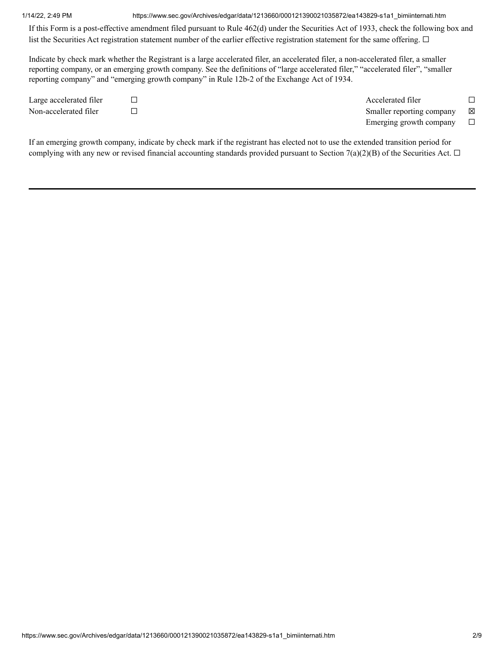#### 1/14/22, 2:49 PM https://www.sec.gov/Archives/edgar/data/1213660/000121390021035872/ea143829-s1a1\_bimiinternati.htm

If this Form is a post-effective amendment filed pursuant to Rule 462(d) under the Securities Act of 1933, check the following box and list the Securities Act registration statement number of the earlier effective registration statement for the same offering. □

Indicate by check mark whether the Registrant is a large accelerated filer, an accelerated filer, a non-accelerated filer, a smaller reporting company, or an emerging growth company. See the definitions of "large accelerated filer," "accelerated filer", "smaller reporting company" and "emerging growth company" in Rule 12b-2 of the Exchange Act of 1934.

Large accelerated filer ☐ Accelerated filer ☐ Non-accelerated filer ☐ Smaller reporting company ☒ Emerging growth company  $\Box$ 

If an emerging growth company, indicate by check mark if the registrant has elected not to use the extended transition period for complying with any new or revised financial accounting standards provided pursuant to Section 7(a)(2)(B) of the Securities Act.  $\Box$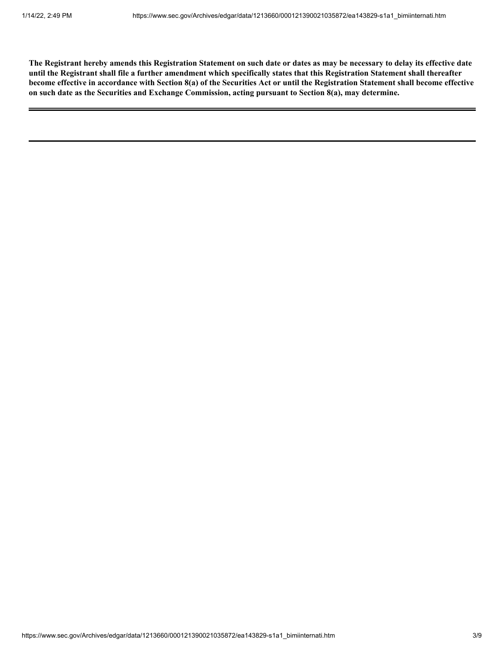The Registrant hereby amends this Registration Statement on such date or dates as may be necessary to delay its effective date until the Registrant shall file a further amendment which specifically states that this Registration Statement shall thereafter become effective in accordance with Section 8(a) of the Securities Act or until the Registration Statement shall become effective **on such date as the Securities and Exchange Commission, acting pursuant to Section 8(a), may determine.**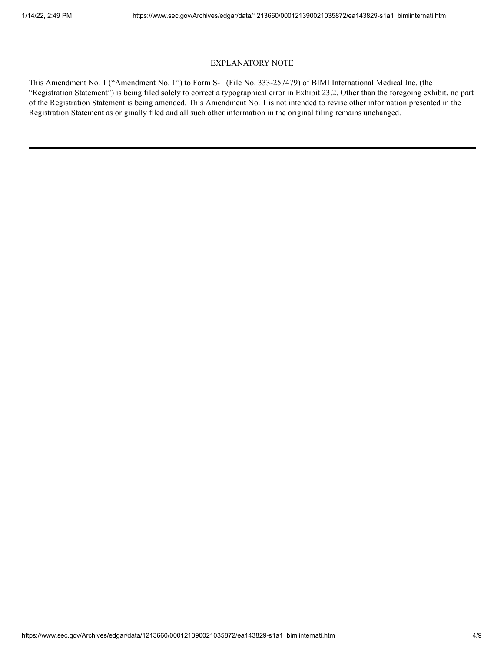#### EXPLANATORY NOTE

This Amendment No. 1 ("Amendment No. 1") to Form S-1 (File No. 333-257479) of BIMI International Medical Inc. (the "Registration Statement") is being filed solely to correct a typographical error in Exhibit 23.2. Other than the foregoing exhibit, no part of the Registration Statement is being amended. This Amendment No. 1 is not intended to revise other information presented in the Registration Statement as originally filed and all such other information in the original filing remains unchanged.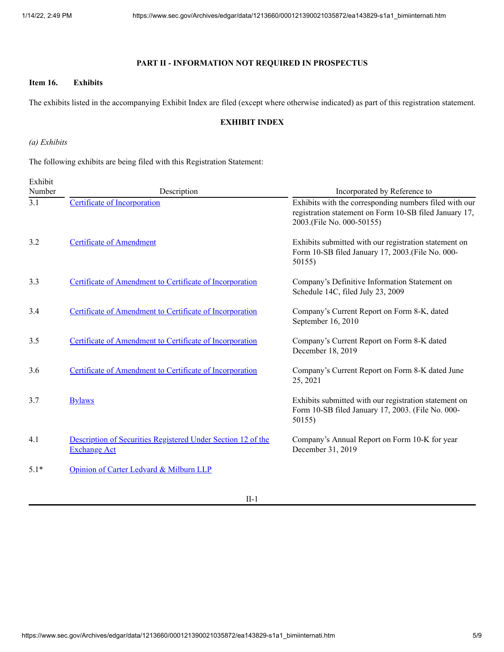### **PART II - INFORMATION NOT REQUIRED IN PROSPECTUS**

#### **Item 16. Exhibits**

The exhibits listed in the accompanying Exhibit Index are filed (except where otherwise indicated) as part of this registration statement.

#### **EXHIBIT INDEX**

*(a) Exhibits*

The following exhibits are being filed with this Registration Statement:

| Exhibit<br>Number | Description                                                                         | Incorporated by Reference to                                                                                                                  |
|-------------------|-------------------------------------------------------------------------------------|-----------------------------------------------------------------------------------------------------------------------------------------------|
| 3.1               | <b>Certificate of Incorporation</b>                                                 | Exhibits with the corresponding numbers filed with our<br>registration statement on Form 10-SB filed January 17,<br>2003.(File No. 000-50155) |
| 3.2               | <b>Certificate of Amendment</b>                                                     | Exhibits submitted with our registration statement on<br>Form 10-SB filed January 17, 2003. (File No. 000-<br>50155)                          |
| 3.3               | Certificate of Amendment to Certificate of Incorporation                            | Company's Definitive Information Statement on<br>Schedule 14C, filed July 23, 2009                                                            |
| 3.4               | Certificate of Amendment to Certificate of Incorporation                            | Company's Current Report on Form 8-K, dated<br>September 16, 2010                                                                             |
| 3.5               | Certificate of Amendment to Certificate of Incorporation                            | Company's Current Report on Form 8-K dated<br>December 18, 2019                                                                               |
| 3.6               | Certificate of Amendment to Certificate of Incorporation                            | Company's Current Report on Form 8-K dated June<br>25, 2021                                                                                   |
| 3.7               | <b>Bylaws</b>                                                                       | Exhibits submitted with our registration statement on<br>Form 10-SB filed January 17, 2003. (File No. 000-<br>50155)                          |
| 4.1               | Description of Securities Registered Under Section 12 of the<br><b>Exchange Act</b> | Company's Annual Report on Form 10-K for year<br>December 31, 2019                                                                            |
| $5.1*$            | Opinion of Carter Ledyard & Milburn LLP                                             |                                                                                                                                               |

II-1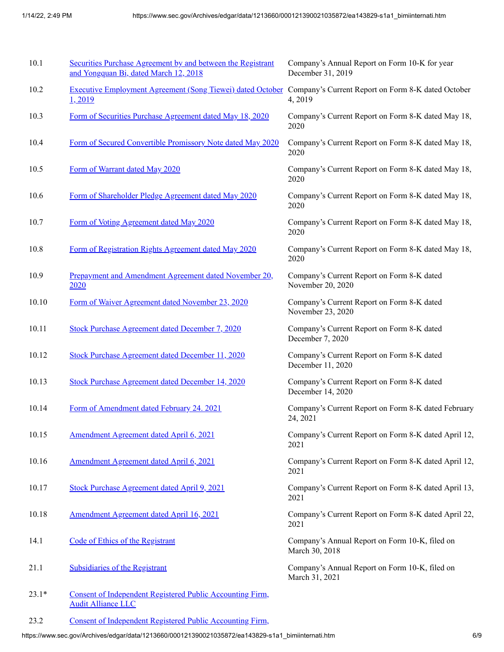| 10.1    | Securities Purchase Agreement by and between the Registrant<br>and Yongquan Bi, dated March 12, 2018                    | Company's Annual Report on Form 10-K for year<br>December 31, 2019 |
|---------|-------------------------------------------------------------------------------------------------------------------------|--------------------------------------------------------------------|
| 10.2    | Executive Employment Agreement (Song Tiewei) dated October Company's Current Report on Form 8-K dated October<br>1,2019 | 4, 2019                                                            |
| 10.3    | Form of Securities Purchase Agreement dated May 18, 2020                                                                | Company's Current Report on Form 8-K dated May 18,<br>2020         |
| 10.4    | Form of Secured Convertible Promissory Note dated May 2020                                                              | Company's Current Report on Form 8-K dated May 18,<br>2020         |
| 10.5    | Form of Warrant dated May 2020                                                                                          | Company's Current Report on Form 8-K dated May 18,<br>2020         |
| 10.6    | Form of Shareholder Pledge Agreement dated May 2020                                                                     | Company's Current Report on Form 8-K dated May 18,<br>2020         |
| 10.7    | Form of Voting Agreement dated May 2020                                                                                 | Company's Current Report on Form 8-K dated May 18,<br>2020         |
| 10.8    | Form of Registration Rights Agreement dated May 2020                                                                    | Company's Current Report on Form 8-K dated May 18,<br>2020         |
| 10.9    | Prepayment and Amendment Agreement dated November 20,<br>2020                                                           | Company's Current Report on Form 8-K dated<br>November 20, 2020    |
| 10.10   | Form of Waiver Agreement dated November 23, 2020                                                                        | Company's Current Report on Form 8-K dated<br>November 23, 2020    |
| 10.11   | <b>Stock Purchase Agreement dated December 7, 2020</b>                                                                  | Company's Current Report on Form 8-K dated<br>December 7, 2020     |
| 10.12   | <b>Stock Purchase Agreement dated December 11, 2020</b>                                                                 | Company's Current Report on Form 8-K dated<br>December 11, 2020    |
| 10.13   | <b>Stock Purchase Agreement dated December 14, 2020</b>                                                                 | Company's Current Report on Form 8-K dated<br>December 14, 2020    |
| 10.14   | Form of Amendment dated February 24. 2021                                                                               | Company's Current Report on Form 8-K dated February<br>24, 2021    |
| 10.15   | Amendment Agreement dated April 6, 2021                                                                                 | Company's Current Report on Form 8-K dated April 12,<br>2021       |
| 10.16   | Amendment Agreement dated April 6, 2021                                                                                 | Company's Current Report on Form 8-K dated April 12,<br>2021       |
| 10.17   | Stock Purchase Agreement dated April 9, 2021                                                                            | Company's Current Report on Form 8-K dated April 13,<br>2021       |
| 10.18   | Amendment Agreement dated April 16, 2021                                                                                | Company's Current Report on Form 8-K dated April 22,<br>2021       |
| 14.1    | Code of Ethics of the Registrant                                                                                        | Company's Annual Report on Form 10-K, filed on<br>March 30, 2018   |
| 21.1    | <b>Subsidiaries of the Registrant</b>                                                                                   | Company's Annual Report on Form 10-K, filed on<br>March 31, 2021   |
| $23.1*$ | Consent of Independent Registered Public Accounting Firm,<br><b>Audit Alliance LLC</b>                                  |                                                                    |

23.2 Consent of [Independent](https://www.sec.gov/Archives/edgar/data/1213660/000121390021035872/ea143829ex23-2_bimiinternati.htm) Registered Public Accounting Firm,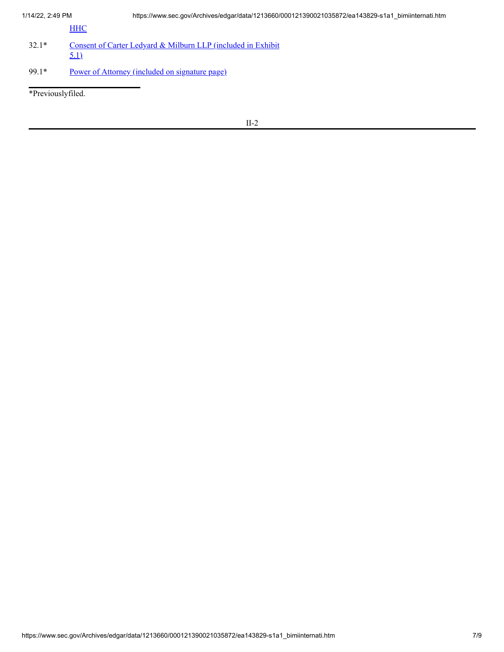| 1/14/22, 2:49 PM |  |
|------------------|--|

**[HHC](https://www.sec.gov/Archives/edgar/data/1213660/000121390021035872/ea143829ex23-2_bimiinternati.htm)** 

- 32.1\* Consent of Carter Ledyard & Milburn LLP [\(included](http://www.sec.gov/Archives/edgar/data/1213660/000121390021034463/ea139864ex5-1_boqiinter.htm) in Exhibit 5.1)
- 99.1\* Power of Attorney [\(included](http://www.sec.gov/Archives/edgar/data/1213660/000121390021034463/ea139864-s1_boqiinter.htm#a_014) on signature page)

\*Previouslyfiled.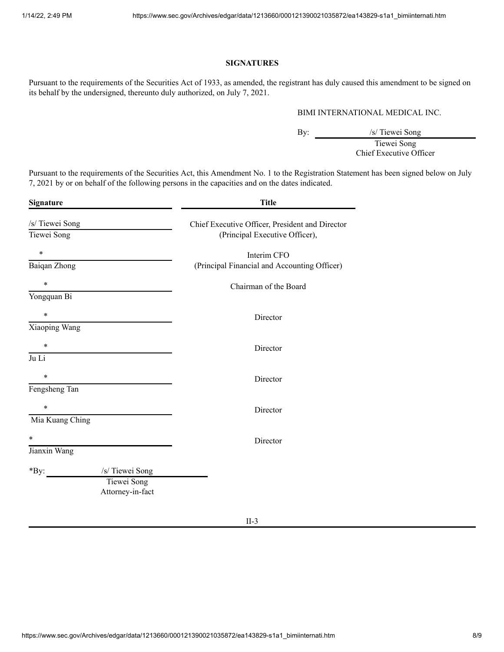#### **SIGNATURES**

Pursuant to the requirements of the Securities Act of 1933, as amended, the registrant has duly caused this amendment to be signed on its behalf by the undersigned, thereunto duly authorized, on July 7, 2021.

#### BIMI INTERNATIONAL MEDICAL INC.

By:  $\frac{1}{\sqrt{1+\frac{1}{\sqrt{1+\frac{1}{\sqrt{1+\frac{1}{\sqrt{1+\frac{1}{\sqrt{1+\frac{1}{\sqrt{1+\frac{1}{\sqrt{1+\frac{1}{\sqrt{1+\frac{1}{\sqrt{1+\frac{1}{\sqrt{1+\frac{1}{\sqrt{1+\frac{1}{\sqrt{1+\frac{1}{\sqrt{1+\frac{1}{\sqrt{1+\frac{1}{\sqrt{1+\frac{1}{\sqrt{1+\frac{1}{\sqrt{1+\frac{1}{\sqrt{1+\frac{1}{\sqrt{1+\frac{1}{\sqrt{1+\frac{1}{\sqrt{1+\frac{1}{\sqrt{1+\frac{1}{\sqrt{1+\frac{1}{\sqrt{1$ /s/ Tiewei Song<br>Tiewei Song

Chief Executive Officer

Pursuant to the requirements of the Securities Act, this Amendment No. 1 to the Registration Statement has been signed below on July 7, 2021 by or on behalf of the following persons in the capacities and on the dates indicated.

| Signature               | <b>Title</b>                                    |
|-------------------------|-------------------------------------------------|
| /s/ Tiewei Song         | Chief Executive Officer, President and Director |
| Tiewei Song             | (Principal Executive Officer),                  |
| $\ast$                  | Interim CFO                                     |
| Baiqan Zhong            | (Principal Financial and Accounting Officer)    |
| $\ast$                  | Chairman of the Board                           |
| Yongquan Bi             |                                                 |
| $\ast$                  | Director                                        |
| Xiaoping Wang           |                                                 |
| $\ast$                  | Director                                        |
| Ju Li                   |                                                 |
| $\ast$                  | Director                                        |
| Fengsheng Tan           |                                                 |
| $\ast$                  | Director                                        |
| Mia Kuang Ching         |                                                 |
| $\ast$                  | Director                                        |
| Jianxin Wang            |                                                 |
| /s/ Tiewei Song<br>*By: |                                                 |
| Tiewei Song             |                                                 |
| Attorney-in-fact        |                                                 |
|                         |                                                 |

II-3